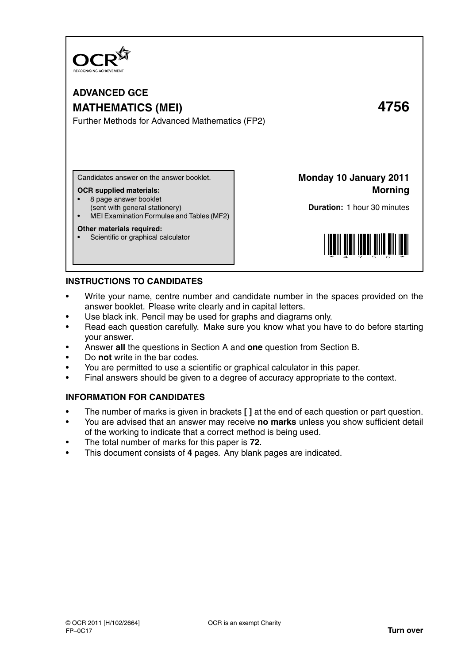

## **ADVANCED GCE MATHEMATICS (MEI) 4756** Further Methods for Advanced Mathematics (FP2)

Candidates answer on the answer booklet.

## **OCR supplied materials:**

- 8 page answer booklet
- (sent with general stationery)
- MEI Examination Formulae and Tables (MF2)

## **Other materials required:**

Scientific or graphical calculator

**Monday 10 January 2011 Morning**

**Duration:** 1 hour 30 minutes



## **INSTRUCTIONS TO CANDIDATES**

- Write your name, centre number and candidate number in the spaces provided on the answer booklet. Please write clearly and in capital letters.
- Use black ink. Pencil may be used for graphs and diagrams only.
- Read each question carefully. Make sure you know what you have to do before starting your answer.
- Answer **all** the questions in Section A and **one** question from Section B.
- Do **not** write in the bar codes.
- You are permitted to use a scientific or graphical calculator in this paper.
- Final answers should be given to a degree of accuracy appropriate to the context.

## **INFORMATION FOR CANDIDATES**

- The number of marks is given in brackets **[ ]** at the end of each question or part question.
- You are advised that an answer may receive **no marks** unless you show sufficient detail of the working to indicate that a correct method is being used.
- The total number of marks for this paper is **72**.
- This document consists of **4** pages. Any blank pages are indicated.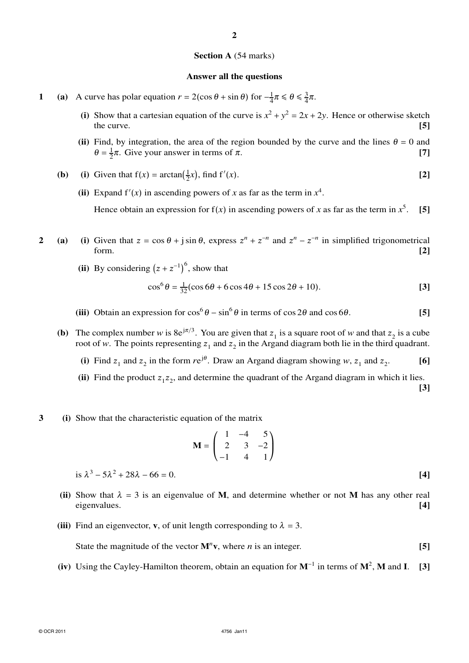# **Section A** (54 marks)

**2**

#### **Answer all the questions**

- **1** (a) A curve has polar equation  $r = 2(\cos \theta + \sin \theta)$  for  $-\frac{1}{4}$  $\frac{1}{4}\pi \leq \theta \leq \frac{3}{4}$  $\frac{3}{4}\pi$ .
	- (i) Show that a cartesian equation of the curve is  $x^2 + y^2 = 2x + 2y$ . Hence or otherwise sketch the curve. **[5]**
	- (ii) Find, by integration, the area of the region bounded by the curve and the lines  $\theta = 0$  and  $\theta = \frac{1}{2}$  $\frac{1}{2}\pi$ . Give your answer in terms of  $\pi$ . **[7]**
	- **(b)** (i) Given that  $f(x) = \arctan(\frac{1}{2})$  $\frac{1}{2}x$ , find f' (*x*). **[2]**
		- (ii) Expand  $f'(x)$  in ascending powers of *x* as far as the term in  $x^4$ .

Hence obtain an expression for  $f(x)$  in ascending powers of x as far as the term in  $x^5$ . **[5]**

- **2** (a) (i) Given that  $z = \cos \theta + j \sin \theta$ , express  $z^n + z^{-n}$  and  $z^n z^{-n}$  in simplified trigonometrical form. **[2]**
	- **(ii)** By considering  $(z + z^{-1})^6$ , show that

$$
\cos^{6} \theta = \frac{1}{32} (\cos 6\theta + 6\cos 4\theta + 15\cos 2\theta + 10). \tag{3}
$$

- (iii) Obtain an expression for  $\cos^6 \theta \sin^6 \theta$  in terms of  $\cos 2\theta$  and  $\cos 6\theta$ . **[5]**
- **(b)** The complex number *w* is  $8e^{j\pi/3}$ . You are given that  $z_1$  is a square root of *w* and that  $z_2$  is a cube root of w. The points representing  $z_1$  and  $z_2$  in the Argand diagram both lie in the third quadrant.
	- (i) Find  $z_1$  and  $z_2$  in the form  $re^{j\theta}$ . Draw an Argand diagram showing *w*,  $z_1$  and  $z_2$ . **[6]**
	- (ii) Find the product  $z_1 z_2$ , and determine the quadrant of the Argand diagram in which it lies. **[3]**
- **3 (i)** Show that the characteristic equation of the matrix

$$
\mathbf{M} = \begin{pmatrix} 1 & -4 & 5 \\ 2 & 3 & -2 \\ -1 & 4 & 1 \end{pmatrix}
$$

is 
$$
\lambda^3 - 5\lambda^2 + 28\lambda - 66 = 0.
$$
 [4]

- (ii) Show that  $\lambda = 3$  is an eigenvalue of M, and determine whether or not M has any other real eigenvalues. **[4]**
- (iii) Find an eigenvector, **v**, of unit length corresponding to  $\lambda = 3$ .

State the magnitude of the vector  $M^n v$ , where *n* is an integer. [5]

**(iv)** Using the Cayley-Hamilton theorem, obtain an equation for **M**<sup>−</sup><sup>1</sup> in terms of **M**<sup>2</sup> , **M** and **I**. **[3]**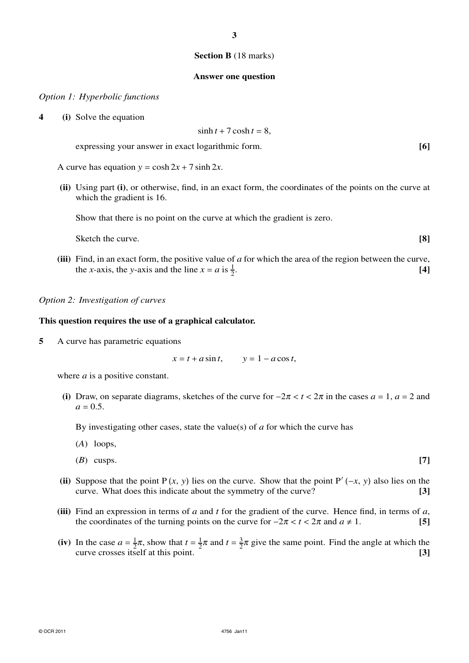## **Section B** (18 marks)

### **Answer one question**

### *Option 1: Hyperbolic functions*

**4 (i)** Solve the equation

$$
\sinh t + 7\cosh t = 8,
$$

expressing your answer in exact logarithmic form. **[6]**

A curve has equation  $y = \cosh 2x + 7 \sinh 2x$ .

**(ii)** Using part **(i)**, or otherwise, find, in an exact form, the coordinates of the points on the curve at which the gradient is 16.

Show that there is no point on the curve at which the gradient is zero.

Sketch the curve. **[8] [8]** 

**(iii)** Find, in an exact form, the positive value of *a* for which the area of the region between the curve, the *x*-axis, the *y*-axis and the line  $x = a$  is  $\frac{1}{2}$ . **[4]**

## *Option 2: Investigation of curves*

## **This question requires the use of a graphical calculator.**

**5** A curve has parametric equations

 $x = t + a \sin t$ ,  $y = 1 - a \cos t$ ,

where *a* is a positive constant.

(i) Draw, on separate diagrams, sketches of the curve for  $-2\pi < t < 2\pi$  in the cases  $a = 1$ ,  $a = 2$  and  $a = 0.5$ .

By investigating other cases, state the value(s) of *a* for which the curve has

- (*A*) loops,
- (*B*) cusps. **[7]**
- (ii) Suppose that the point P(*x*, *y*) lies on the curve. Show that the point P'  $(-x, y)$  also lies on the curve. What does this indicate about the symmetry of the curve? **[3]**
- **(iii)** Find an expression in terms of *a* and *t* for the gradient of the curve. Hence find, in terms of *a*, the coordinates of the turning points on the curve for  $-2\pi < t < 2\pi$  and  $a \ne 1$ . [5]
- (iv) In the case  $a = \frac{1}{2}$  $\frac{1}{2}\pi$ , show that  $t = \frac{1}{2}$  $\frac{1}{2}\pi$  and  $t = \frac{3}{2}$  $\frac{3}{2}\pi$  give the same point. Find the angle at which the curve crosses itself at this point. **[3]**